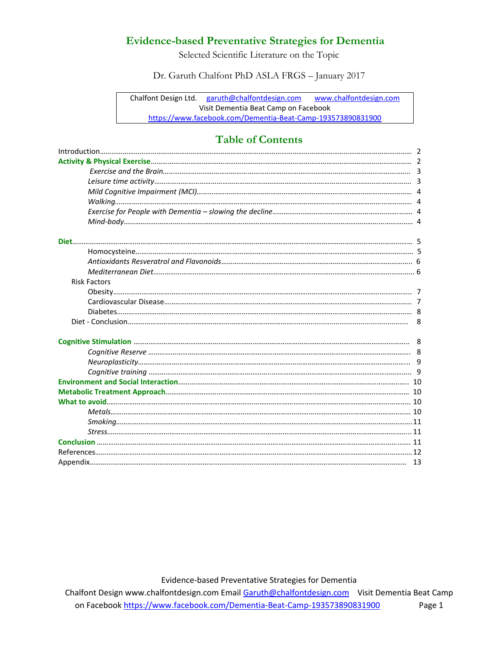Selected Scientific Literature on the Topic

Dr. Garuth Chalfont PhD ASLA FRGS – January 2017

Chalfont Design Ltd. [garuth@chalfontdesign.com](mailto:garuth@chalfontdesign.com) [www.chalfontdesign.com](http://www.chalfontdesign.com/) Visit Dementia Beat Camp on Facebook <https://www.facebook.com/Dementia-Beat-Camp-193573890831900>

# **Table of Contents**

| <b>Risk Factors</b> |  |
|---------------------|--|
|                     |  |
|                     |  |
|                     |  |
|                     |  |
|                     |  |
|                     |  |
|                     |  |
|                     |  |
|                     |  |
|                     |  |
|                     |  |
|                     |  |
|                     |  |
|                     |  |
|                     |  |
|                     |  |
|                     |  |

Evidence-based Preventative Strategies for Dementia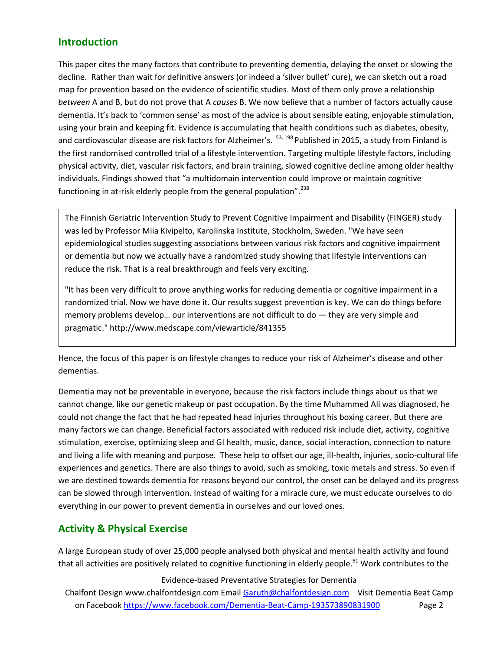# **Introduction**

This paper cites the many factors that contribute to preventing dementia, delaying the onset or slowing the decline. Rather than wait for definitive answers (or indeed a 'silver bullet' cure), we can sketch out a road map for prevention based on the evidence of scientific studies. Most of them only prove a relationship *between* A and B, but do not prove that A *causes* B. We now believe that a number of factors actually cause dementia. It's back to 'common sense' as most of the advice is about sensible eating, enjoyable stimulation, using your brain and keeping fit. Evidence is accumulating that health conditions such as diabetes, obesity, and cardiovascular disease are risk factors for Alzheimer's. <sup>53, 198</sup> Published in 2015, a study from Finland is the first randomised controlled trial of a lifestyle intervention. Targeting multiple lifestyle factors, including physical activity, diet, vascular risk factors, and brain training, slowed cognitive decline among older healthy individuals. Findings showed that "a multidomain intervention could improve or maintain cognitive functioning in at-risk elderly people from the general population".<sup>238</sup>

The Finnish Geriatric Intervention Study to Prevent Cognitive Impairment and Disability (FINGER) study was led by Professor Miia Kivipelto, Karolinska Institute, Stockholm, Sweden. "We have seen epidemiological studies suggesting associations between various risk factors and cognitive impairment or dementia but now we actually have a randomized study showing that lifestyle interventions can reduce the risk. That is a real breakthrough and feels very exciting.

"It has been very difficult to prove anything works for reducing dementia or cognitive impairment in a randomized trial. Now we have done it. Our results suggest prevention is key. We can do things before memory problems develop… our interventions are not difficult to do — they are very simple and pragmatic." http://www.medscape.com/viewarticle/841355

Hence, the focus of this paper is on lifestyle changes to reduce your risk of Alzheimer's disease and other dementias.

Dementia may not be preventable in everyone, because the risk factors include things about us that we cannot change, like our genetic makeup or past occupation. By the time Muhammed Ali was diagnosed, he could not change the fact that he had repeated head injuries throughout his boxing career. But there are many factors we can change. Beneficial factors associated with reduced risk include diet, activity, cognitive stimulation, exercise, optimizing sleep and GI health, music, dance, social interaction, connection to nature and living a life with meaning and purpose. These help to offset our age, ill-health, injuries, socio-cultural life experiences and genetics. There are also things to avoid, such as smoking, toxic metals and stress. So even if we are destined towards dementia for reasons beyond our control, the onset can be delayed and its progress can be slowed through intervention. Instead of waiting for a miracle cure, we must educate ourselves to do everything in our power to prevent dementia in ourselves and our loved ones.

# **Activity & Physical Exercise**

A large European study of over 25,000 people analysed both physical and mental health activity and found that all activities are positively related to cognitive functioning in elderly people.<sup>51</sup> Work contributes to the

## Evidence-based Preventative Strategies for Dementia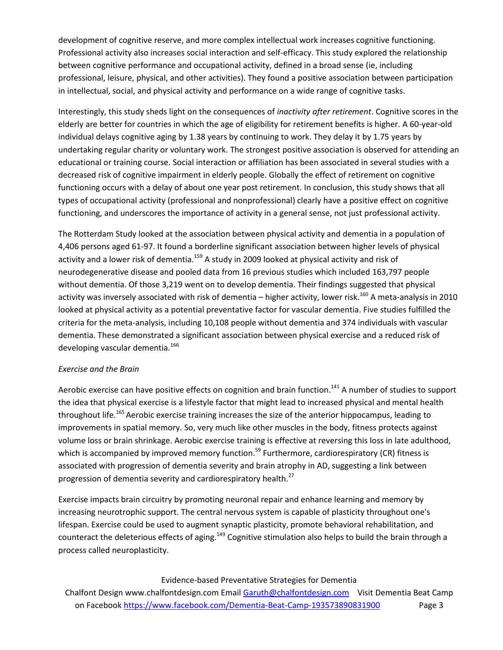development of cognitive reserve, and more complex intellectual work increases cognitive functioning. Professional activity also increases social interaction and self-efficacy. This study explored the relationship between cognitive performance and occupational activity, defined in a broad sense (ie, including professional, leisure, physical, and other activities). They found a positive association between participation in intellectual, social, and physical activity and performance on a wide range of cognitive tasks.

Interestingly, this study sheds light on the consequences of *inactivity after retirement*. Cognitive scores in the elderly are better for countries in which the age of eligibility for retirement benefits is higher. A 60-year-old individual delays cognitive aging by 1.38 years by continuing to work. They delay it by 1.75 years by undertaking regular charity or voluntary work. The strongest positive association is observed for attending an educational or training course. Social interaction or affiliation has been associated in several studies with a decreased risk of cognitive impairment in elderly people. Globally the effect of retirement on cognitive functioning occurs with a delay of about one year post retirement. In conclusion, this study shows that all types of occupational activity (professional and nonprofessional) clearly have a positive effect on cognitive functioning, and underscores the importance of activity in a general sense, not just professional activity.

The Rotterdam Study looked at the association between physical activity and dementia in a population of 4,406 persons aged 61-97. It found a borderline significant association between higher levels of physical activity and a lower risk of dementia.<sup>159</sup> A study in 2009 looked at physical activity and risk of neurodegenerative disease and pooled data from 16 previous studies which included 163,797 people without dementia. Of those 3,219 went on to develop dementia. Their findings suggested that physical activity was inversely associated with risk of dementia – higher activity, lower risk.<sup>160</sup> A meta-analysis in 2010 looked at physical activity as a potential preventative factor for vascular dementia. Five studies fulfilled the criteria for the meta-analysis, including 10,108 people without dementia and 374 individuals with vascular dementia. These demonstrated a significant association between physical exercise and a reduced risk of developing vascular dementia.<sup>166</sup>

## *Exercise and the Brain*

Aerobic exercise can have positive effects on cognition and brain function.<sup>141</sup> A number of studies to support the idea that physical exercise is a lifestyle factor that might lead to increased physical and mental health throughout life.<sup>165</sup> Aerobic exercise training increases the size of the anterior hippocampus, leading to improvements in spatial memory. So, very much like other muscles in the body, fitness protects against volume loss or brain shrinkage. Aerobic exercise training is effective at reversing this loss in late adulthood, which is accompanied by improved memory function.<sup>59</sup> Furthermore, cardiorespiratory (CR) fitness is associated with progression of dementia severity and brain atrophy in AD, suggesting a link between progression of dementia severity and cardiorespiratory health.<sup>27</sup>

Exercise impacts brain circuitry by promoting neuronal repair and enhance learning and memory by increasing neurotrophic support. The central nervous system is capable of plasticity throughout one's lifespan. Exercise could be used to augment synaptic plasticity, promote behavioral rehabilitation, and counteract the deleterious effects of aging.<sup>149</sup> Cognitive stimulation also helps to build the brain through a process called neuroplasticity.

## Evidence-based Preventative Strategies for Dementia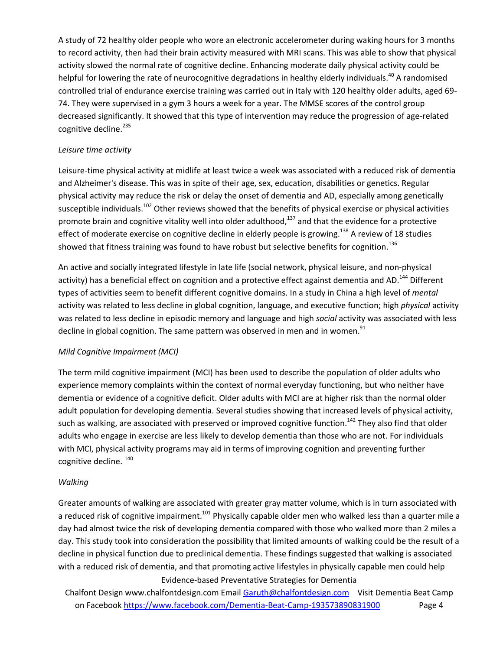A study of 72 healthy older people who wore an electronic accelerometer during waking hours for 3 months to record activity, then had their brain activity measured with MRI scans. This was able to show that physical activity slowed the normal rate of cognitive decline. Enhancing moderate daily physical activity could be helpful for lowering the rate of neurocognitive degradations in healthy elderly individuals.<sup>40</sup> A randomised controlled trial of endurance exercise training was carried out in Italy with 120 healthy older adults, aged 69- 74. They were supervised in a gym 3 hours a week for a year. The MMSE scores of the control group decreased significantly. It showed that this type of intervention may reduce the progression of age-related cognitive decline. 235

## *Leisure time activity*

Leisure-time physical activity at midlife at least twice a week was associated with a reduced risk of dementia and Alzheimer's disease. This was in spite of their age, sex, education, disabilities or genetics. Regular physical activity may reduce the risk or delay the onset of dementia and AD, especially among genetically susceptible individuals.<sup>102</sup> Other reviews showed that the benefits of physical exercise or physical activities promote brain and cognitive vitality well into older adulthood, $137$  and that the evidence for a protective effect of moderate exercise on cognitive decline in elderly people is growing.<sup>138</sup> A review of 18 studies showed that fitness training was found to have robust but selective benefits for cognition.<sup>136</sup>

An active and socially integrated lifestyle in late life (social network, physical leisure, and non-physical activity) has a beneficial effect on cognition and a protective effect against dementia and AD.<sup>144</sup> Different types of activities seem to benefit different cognitive domains. In a study in China a high level of *mental* activity was related to less decline in global cognition, language, and executive function; high *physical* activity was related to less decline in episodic memory and language and high *social* activity was associated with less decline in global cognition. The same pattern was observed in men and in women. $91$ 

## *Mild Cognitive Impairment (MCI)*

The term mild cognitive impairment (MCI) has been used to describe the population of older adults who experience memory complaints within the context of normal everyday functioning, but who neither have dementia or evidence of a cognitive deficit. Older adults with MCI are at higher risk than the normal older adult population for developing dementia. Several studies showing that increased levels of physical activity, such as walking, are associated with preserved or improved cognitive function.<sup>142</sup> They also find that older adults who engage in exercise are less likely to develop dementia than those who are not. For individuals with MCI, physical activity programs may aid in terms of improving cognition and preventing further cognitive decline.  $140$ 

## *Walking*

Evidence-based Preventative Strategies for Dementia Greater amounts of walking are associated with greater gray matter volume, which is in turn associated with a reduced risk of cognitive impairment.<sup>101</sup> Physically capable older men who walked less than a quarter mile a day had almost twice the risk of developing dementia compared with those who walked more than 2 miles a day. This study took into consideration the possibility that limited amounts of walking could be the result of a decline in physical function due to preclinical dementia. These findings suggested that walking is associated with a reduced risk of dementia, and that promoting active lifestyles in physically capable men could help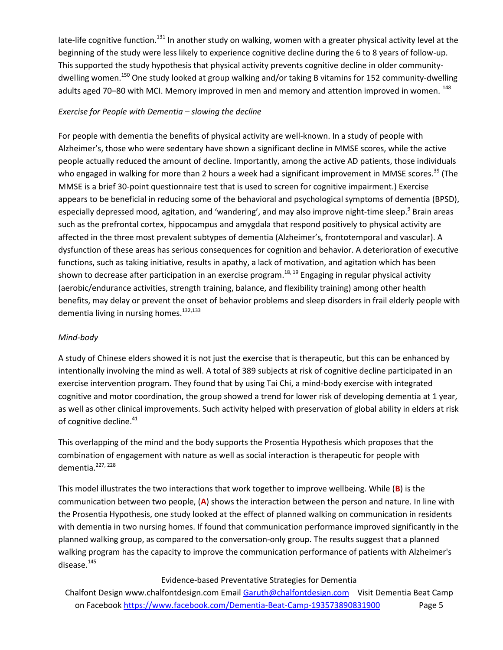late-life cognitive function.<sup>131</sup> In another study on walking, women with a greater physical activity level at the beginning of the study were less likely to experience cognitive decline during the 6 to 8 years of follow-up. This supported the study hypothesis that physical activity prevents cognitive decline in older communitydwelling women.<sup>150</sup> One study looked at group walking and/or taking B vitamins for 152 community-dwelling adults aged 70–80 with MCI. Memory improved in men and memory and attention improved in women. <sup>148</sup>

## *Exercise for People with Dementia – slowing the decline*

For people with dementia the benefits of physical activity are well-known. In a study of people with Alzheimer's, those who were sedentary have shown a significant decline in MMSE scores, while the active people actually reduced the amount of decline. Importantly, among the active AD patients, those individuals who engaged in walking for more than 2 hours a week had a significant improvement in MMSE scores.<sup>39</sup> (The MMSE is a brief 30-point questionnaire test that is used to screen for cognitive impairment.) Exercise appears to be beneficial in reducing some of the behavioral and psychological symptoms of dementia (BPSD), especially depressed mood, agitation, and 'wandering', and may also improve night-time sleep.<sup>9</sup> Brain areas such as the prefrontal cortex, hippocampus and amygdala that respond positively to physical activity are affected in the three most prevalent subtypes of dementia (Alzheimer's, frontotemporal and vascular). A dysfunction of these areas has serious consequences for cognition and behavior. A deterioration of executive functions, such as taking initiative, results in apathy, a lack of motivation, and agitation which has been shown to decrease after participation in an exercise program.<sup>18, 19</sup> Engaging in regular physical activity (aerobic/endurance activities, strength training, balance, and flexibility training) among other health benefits, may delay or prevent the onset of behavior problems and sleep disorders in frail elderly people with dementia living in nursing homes.<sup>132,133</sup>

## *Mind-body*

A study of Chinese elders showed it is not just the exercise that is therapeutic, but this can be enhanced by intentionally involving the mind as well. A total of 389 subjects at risk of cognitive decline participated in an exercise intervention program. They found that by using Tai Chi, a mind-body exercise with integrated cognitive and motor coordination, the group showed a trend for lower risk of developing dementia at 1 year, as well as other clinical improvements. Such activity helped with preservation of global ability in elders at risk of cognitive decline.<sup>41</sup>

This overlapping of the mind and the body supports the Prosentia Hypothesis which proposes that the combination of engagement with nature as well as social interaction is therapeutic for people with dementia.<sup>227, 228</sup>

This model illustrates the two interactions that work together to improve wellbeing. While (**B**) is the communication between two people, (**A**) shows the interaction between the person and nature. In line with the Prosentia Hypothesis, one study looked at the effect of planned walking on communication in residents with dementia in two nursing homes. If found that communication performance improved significantly in the planned walking group, as compared to the conversation-only group. The results suggest that a planned walking program has the capacity to improve the communication performance of patients with Alzheimer's disease.<sup>145</sup>

## Evidence-based Preventative Strategies for Dementia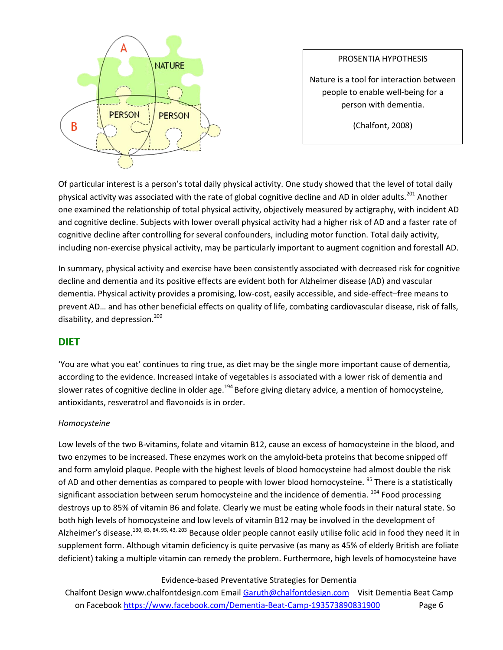

## PROSENTIA HYPOTHESIS

Nature is a tool for interaction between people to enable well-being for a person with dementia.

(Chalfont, 2008)

Of particular interest is a person's total daily physical activity. One study showed that the level of total daily physical activity was associated with the rate of global cognitive decline and AD in older adults.<sup>201</sup> Another one examined the relationship of total physical activity, objectively measured by actigraphy, with incident AD and cognitive decline. Subjects with lower overall physical activity had a higher risk of AD and a faster rate of cognitive decline after controlling for several confounders, including motor function. Total daily activity, including non-exercise physical activity, may be particularly important to augment cognition and forestall AD.

In summary, physical activity and exercise have been consistently associated with decreased risk for cognitive decline and dementia and its positive effects are evident both for Alzheimer disease (AD) and vascular dementia. Physical activity provides a promising, low-cost, easily accessible, and side-effect–free means to prevent AD… and has other beneficial effects on quality of life, combating cardiovascular disease, risk of falls, disability, and depression.<sup>200</sup>

# **DIET**

'You are what you eat' continues to ring true, as diet may be the single more important cause of dementia, according to the evidence. Increased intake of vegetables is associated with a lower risk of dementia and slower rates of cognitive decline in older age.<sup>194</sup> Before giving dietary advice, a mention of homocysteine, antioxidants, resveratrol and flavonoids is in order.

## *Homocysteine*

Low levels of the two B-vitamins, folate and vitamin B12, cause an excess of homocysteine in the blood, and two enzymes to be increased. These enzymes work on the amyloid-beta proteins that become snipped off and form amyloid plaque. People with the highest levels of blood homocysteine had almost double the risk of AD and other dementias as compared to people with lower blood homocysteine. <sup>95</sup> There is a statistically significant association between serum homocysteine and the incidence of dementia. <sup>104</sup> Food processing destroys up to 85% of vitamin B6 and folate. Clearly we must be eating whole foods in their natural state. So both high levels of homocysteine and low levels of vitamin B12 may be involved in the development of Alzheimer's disease.<sup>130, 83, 84, 95, 43, 203</sup> Because older people cannot easily utilise folic acid in food they need it in supplement form. Although vitamin deficiency is quite pervasive (as many as 45% of elderly British are foliate deficient) taking a multiple vitamin can remedy the problem. Furthermore, high levels of homocysteine have

## Evidence-based Preventative Strategies for Dementia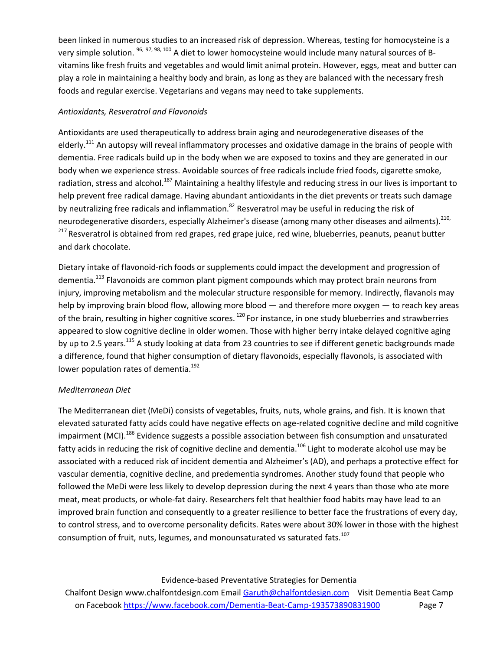been linked in numerous studies to an increased risk of depression. Whereas, testing for homocysteine is a very simple solution. <sup>96, 97, 98, 100</sup> A diet to lower homocysteine would include many natural sources of Bvitamins like fresh fruits and vegetables and would limit animal protein. However, eggs, meat and butter can play a role in maintaining a healthy body and brain, as long as they are balanced with the necessary fresh foods and regular exercise. Vegetarians and vegans may need to take supplements.

## *Antioxidants, Resveratrol and Flavonoids*

Antioxidants are used therapeutically to address brain aging and neurodegenerative diseases of the elderly.<sup>111</sup> An autopsy will reveal inflammatory processes and oxidative damage in the brains of people with dementia. Free radicals build up in the body when we are exposed to toxins and they are generated in our body when we experience stress. Avoidable sources of free radicals include fried foods, cigarette smoke, radiation, stress and alcohol.<sup>187</sup> Maintaining a healthy lifestyle and reducing stress in our lives is important to help prevent free radical damage. Having abundant antioxidants in the diet prevents or treats such damage by neutralizing free radicals and inflammation.<sup>82</sup> Resveratrol may be useful in reducing the risk of neurodegenerative disorders, especially Alzheimer's disease (among many other diseases and ailments). 210, <sup>217</sup> Resveratrol is obtained from red grapes, red grape juice, red wine, blueberries, peanuts, peanut butter and dark chocolate.

Dietary intake of flavonoid-rich foods or supplements could impact the development and progression of dementia.<sup>113</sup> Flavonoids are common plant pigment compounds which may protect brain neurons from injury, improving metabolism and the molecular structure responsible for memory. Indirectly, flavanols may help by improving brain blood flow, allowing more blood — and therefore more oxygen — to reach key areas of the brain, resulting in higher cognitive scores. <sup>120</sup> For instance, in one study blueberries and strawberries appeared to slow cognitive decline in older women. Those with higher berry intake delayed cognitive aging by up to 2.5 years.<sup>115</sup> A study looking at data from 23 countries to see if different genetic backgrounds made a difference, found that higher consumption of dietary flavonoids, especially flavonols, is associated with lower population rates of dementia.<sup>192</sup>

## *Mediterranean Diet*

The Mediterranean diet (MeDi) consists of vegetables, fruits, nuts, whole grains, and fish. It is known that elevated saturated fatty acids could have negative effects on age-related cognitive decline and mild cognitive impairment (MCI).<sup>186</sup> Evidence suggests a possible association between fish consumption and unsaturated fatty acids in reducing the risk of cognitive decline and dementia.<sup>106</sup> Light to moderate alcohol use may be associated with a reduced risk of incident dementia and Alzheimer's (AD), and perhaps a protective effect for vascular dementia, cognitive decline, and predementia syndromes. Another study found that people who followed the MeDi were less likely to develop depression during the next 4 years than those who ate more meat, meat products, or whole-fat dairy. Researchers felt that healthier food habits may have lead to an improved brain function and consequently to a greater resilience to better face the frustrations of every day, to control stress, and to overcome personality deficits. Rates were about 30% lower in those with the highest consumption of fruit, nuts, legumes, and monounsaturated vs saturated fats.<sup>107</sup>

## Evidence-based Preventative Strategies for Dementia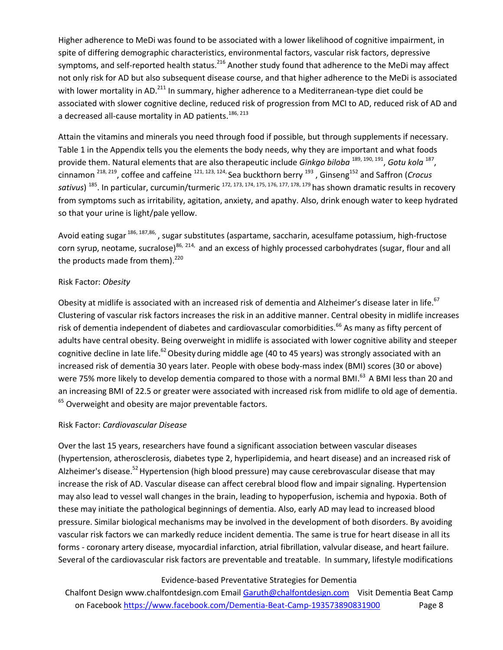Higher adherence to MeDi was found to be associated with a lower likelihood of cognitive impairment, in spite of differing demographic characteristics, environmental factors, vascular risk factors, depressive symptoms, and self-reported health status.<sup>216</sup> Another study found that adherence to the MeDi may affect not only risk for AD but also subsequent disease course, and that higher adherence to the MeDi is associated with lower mortality in AD.<sup>211</sup> In summary, higher adherence to a Mediterranean-type diet could be associated with slower cognitive decline, reduced risk of progression from MCI to AD, reduced risk of AD and a decreased all-cause mortality in AD patients.<sup>186, 213</sup>

Attain the vitamins and minerals you need through food if possible, but through supplements if necessary. Table 1 in the Appendix tells you the elements the body needs, why they are important and what foods provide them. Natural elements that are also therapeutic include *Ginkgo biloba* <sup>189, 190, 191</sup>, *Gotu kola* <sup>187</sup>, cinnamon 218, 219, coffee and caffeine 121, 123, 124, Sea buckthorn berry <sup>193</sup> , Ginseng<sup>152</sup> and Saffron (*Crocus*  s*ativus*) <sup>185</sup>. In particular, curcumin/turmeric <sup>172, 173, 174, 175, 176, 177, 178, 179 has shown dramatic results in recovery</sup> from symptoms such as irritability, agitation, anxiety, and apathy. Also, drink enough water to keep hydrated so that your urine is light/pale yellow.

Avoid eating sugar <sup>186, 187,86</sup>, sugar substitutes (aspartame, saccharin, acesulfame potassium, high-fructose corn syrup, neotame, sucralose)<sup>86, 214,</sup> and an excess of highly processed carbohydrates (sugar, flour and all the products made from them).<sup>220</sup>

## Risk Factor: *Obesity*

Obesity at midlife is associated with an increased risk of dementia and Alzheimer's disease later in life.<sup>67</sup> Clustering of vascular risk factors increases the risk in an additive manner. Central obesity in midlife increases risk of dementia independent of diabetes and cardiovascular comorbidities.<sup>66</sup> As many as fifty percent of adults have central obesity. Being overweight in midlife is associated with lower cognitive ability and steeper cognitive decline in late life.<sup>62</sup> Obesity during middle age (40 to 45 years) was strongly associated with an increased risk of dementia 30 years later. People with obese body-mass index (BMI) scores (30 or above) were 75% more likely to develop dementia compared to those with a normal BMI.<sup>63</sup> A BMI less than 20 and an increasing BMI of 22.5 or greater were associated with increased risk from midlife to old age of dementia.  $65$  Overweight and obesity are major preventable factors.

## Risk Factor: *Cardiovascular Disease*

Over the last 15 years, researchers have found a significant association between vascular diseases (hypertension, atherosclerosis, diabetes type 2, hyperlipidemia, and heart disease) and an increased risk of Alzheimer's disease.<sup>52</sup> Hypertension (high blood pressure) may cause cerebrovascular disease that may increase the risk of AD. Vascular disease can affect cerebral blood flow and impair signaling. Hypertension may also lead to vessel wall changes in the brain, leading to hypoperfusion, ischemia and hypoxia. Both of these may initiate the pathological beginnings of dementia. Also, early AD may lead to increased blood pressure. Similar biological mechanisms may be involved in the development of both disorders. By avoiding vascular risk factors we can markedly reduce incident dementia. The same is true for heart disease in all its forms - coronary artery disease, myocardial infarction, atrial fibrillation, valvular disease, and heart failure. Several of the cardiovascular risk factors are preventable and treatable. In summary, lifestyle modifications

## Evidence-based Preventative Strategies for Dementia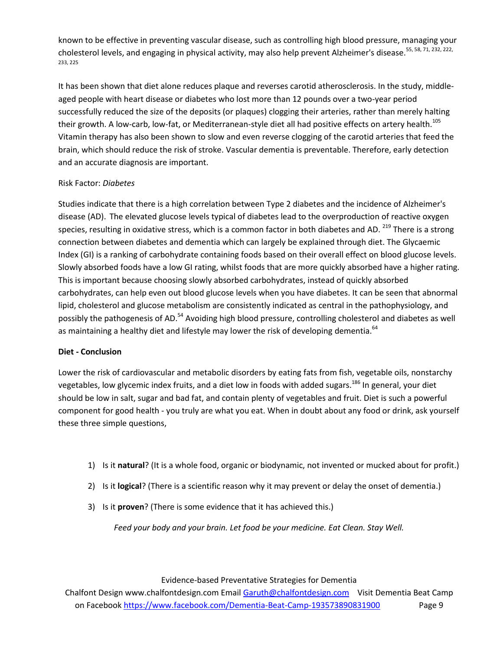known to be effective in preventing vascular disease, such as controlling high blood pressure, managing your cholesterol levels, and engaging in physical activity, may also help prevent Alzheimer's disease.<sup>55, 58, 71, 232, 222,</sup> 233, 225

It has been shown that diet alone reduces plaque and reverses carotid atherosclerosis. In the study, middleaged people with heart disease or diabetes who lost more than 12 pounds over a two-year period successfully reduced the size of the deposits (or plaques) clogging their arteries, rather than merely halting their growth. A low-carb, low-fat, or Mediterranean-style diet all had positive effects on artery health.<sup>105</sup> Vitamin therapy has also been shown to slow and even reverse clogging of the carotid arteries that feed the brain, which should reduce the risk of stroke. Vascular dementia is preventable. Therefore, early detection and an accurate diagnosis are important.

## Risk Factor: *Diabetes*

Studies indicate that there is a high correlation between Type 2 diabetes and the incidence of Alzheimer's disease (AD). The elevated glucose levels typical of diabetes lead to the overproduction of reactive oxygen species, resulting in oxidative stress, which is a common factor in both diabetes and AD. <sup>219</sup> There is a strong connection between diabetes and dementia which can largely be explained through diet. The Glycaemic Index (GI) is a ranking of carbohydrate containing foods based on their overall effect on blood glucose levels. Slowly absorbed foods have a low GI rating, whilst foods that are more quickly absorbed have a higher rating. This is important because choosing slowly absorbed carbohydrates, instead of quickly absorbed carbohydrates, can help even out blood glucose levels when you have diabetes. It can be seen that abnormal lipid, cholesterol and glucose metabolism are consistently indicated as central in the pathophysiology, and possibly the pathogenesis of AD.<sup>54</sup> Avoiding high blood pressure, controlling cholesterol and diabetes as well as maintaining a healthy diet and lifestyle may lower the risk of developing dementia.  $64$ 

## **Diet - Conclusion**

Lower the risk of cardiovascular and metabolic disorders by eating fats from fish, vegetable oils, nonstarchy vegetables, low glycemic index fruits, and a diet low in foods with added sugars.<sup>186</sup> In general, your diet should be low in salt, sugar and bad fat, and contain plenty of vegetables and fruit. Diet is such a powerful component for good health - you truly are what you eat. When in doubt about any food or drink, ask yourself these three simple questions,

- 1) Is it **natural**? (It is a whole food, organic or biodynamic, not invented or mucked about for profit.)
- 2) Is it **logical**? (There is a scientific reason why it may prevent or delay the onset of dementia.)
- 3) Is it **proven**? (There is some evidence that it has achieved this.)

*Feed your body and your brain. Let food be your medicine. Eat Clean. Stay Well.*

## Evidence-based Preventative Strategies for Dementia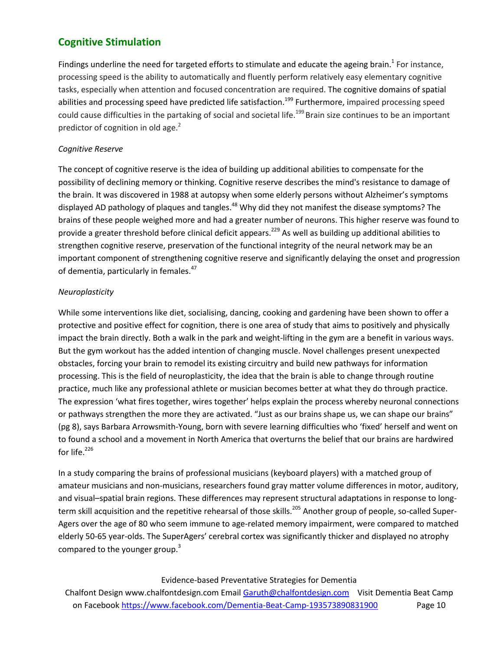# **Cognitive Stimulation**

Findings underline the need for targeted efforts to stimulate and educate the ageing brain.<sup>1</sup> For instance, processing speed is the ability to automatically and fluently perform relatively easy elementary cognitive tasks, especially when attention and focused concentration are required. The cognitive domains of spatial abilities and processing speed have predicted life satisfaction.<sup>199</sup> Furthermore, impaired processing speed could cause difficulties in the partaking of social and societal life.<sup>199</sup> Brain size continues to be an important predictor of cognition in old age. $<sup>2</sup>$ </sup>

## *Cognitive Reserve*

The concept of cognitive reserve is the idea of building up additional abilities to compensate for the possibility of declining memory or thinking. Cognitive reserve describes the mind's resistance to damage of the brain. It was discovered in 1988 at autopsy when some elderly persons without Alzheimer's symptoms displayed AD pathology of plaques and tangles.<sup>48</sup> Why did they not manifest the disease symptoms? The brains of these people weighed more and had a greater number of neurons. This higher reserve was found to provide a greater threshold before clinical deficit appears.<sup>229</sup> As well as building up additional abilities to strengthen cognitive reserve, preservation of the functional integrity of the neural network may be an important component of strengthening cognitive reserve and significantly delaying the onset and progression of dementia, particularly in females.<sup>47</sup>

## *Neuroplasticity*

While some interventions like diet, socialising, dancing, cooking and gardening have been shown to offer a protective and positive effect for cognition, there is one area of study that aims to positively and physically impact the brain directly. Both a walk in the park and weight-lifting in the gym are a benefit in various ways. But the gym workout has the added intention of changing muscle. Novel challenges present unexpected obstacles, forcing your brain to remodel its existing circuitry and build new pathways for information processing. This is the field of neuroplasticity, the idea that the brain is able to change through routine practice, much like any professional athlete or musician becomes better at what they do through practice. The expression 'what fires together, wires together' helps explain the process whereby neuronal connections or pathways strengthen the more they are activated. "Just as our brains shape us, we can shape our brains" (pg 8), says Barbara Arrowsmith-Young, born with severe learning difficulties who 'fixed' herself and went on to found a school and a movement in North America that overturns the belief that our brains are hardwired for life. 226

In a study comparing the brains of professional musicians (keyboard players) with a matched group of amateur musicians and non-musicians, researchers found gray matter volume differences in motor, auditory, and visual–spatial brain regions. These differences may represent structural adaptations in response to longterm skill acquisition and the repetitive rehearsal of those skills.<sup>205</sup> Another group of people, so-called Super-Agers over the age of 80 who seem immune to age-related memory impairment, were compared to matched elderly 50-65 year-olds. The SuperAgers' cerebral cortex was significantly thicker and displayed no atrophy compared to the younger group.<sup>3</sup>

## Evidence-based Preventative Strategies for Dementia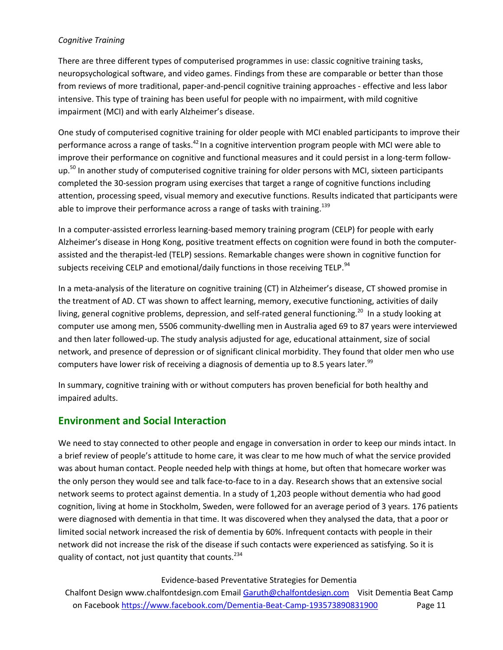## *Cognitive Training*

There are three different types of computerised programmes in use: classic cognitive training tasks, neuropsychological software, and video games. Findings from these are comparable or better than those from reviews of more traditional, paper-and-pencil cognitive training approaches - effective and less labor intensive. This type of training has been useful for people with no impairment, with mild cognitive impairment (MCI) and with early Alzheimer's disease.

One study of computerised cognitive training for older people with MCI enabled participants to improve their performance across a range of tasks.<sup>42</sup> In a cognitive intervention program people with MCI were able to improve their performance on cognitive and functional measures and it could persist in a long-term followup.<sup>50</sup> In another study of computerised cognitive training for older persons with MCI, sixteen participants completed the 30-session program using exercises that target a range of cognitive functions including attention, processing speed, visual memory and executive functions. Results indicated that participants were able to improve their performance across a range of tasks with training.<sup>139</sup>

In a computer-assisted errorless learning-based memory training program (CELP) for people with early Alzheimer's disease in Hong Kong, positive treatment effects on cognition were found in both the computerassisted and the therapist-led (TELP) sessions. Remarkable changes were shown in cognitive function for subjects receiving CELP and emotional/daily functions in those receiving TELP.<sup>94</sup>

In a meta-analysis of the literature on cognitive training (CT) in Alzheimer's disease, CT showed promise in the treatment of AD. CT was shown to affect learning, memory, executive functioning, activities of daily living, general cognitive problems, depression, and self-rated general functioning.<sup>20</sup> In a study looking at computer use among men, 5506 community-dwelling men in Australia aged 69 to 87 years were interviewed and then later followed-up. The study analysis adjusted for age, educational attainment, size of social network, and presence of depression or of significant clinical morbidity. They found that older men who use computers have lower risk of receiving a diagnosis of dementia up to 8.5 years later.<sup>99</sup>

In summary, cognitive training with or without computers has proven beneficial for both healthy and impaired adults.

# **Environment and Social Interaction**

We need to stay connected to other people and engage in conversation in order to keep our minds intact. In a brief review of people's attitude to home care, it was clear to me how much of what the service provided was about human contact. People needed help with things at home, but often that homecare worker was the only person they would see and talk face-to-face to in a day. Research shows that an extensive social network seems to protect against dementia. In a study of 1,203 people without dementia who had good cognition, living at home in Stockholm, Sweden, were followed for an average period of 3 years. 176 patients were diagnosed with dementia in that time. It was discovered when they analysed the data, that a poor or limited social network increased the risk of dementia by 60%. Infrequent contacts with people in their network did not increase the risk of the disease if such contacts were experienced as satisfying. So it is quality of contact, not just quantity that counts. $^{234}$ 

## Evidence-based Preventative Strategies for Dementia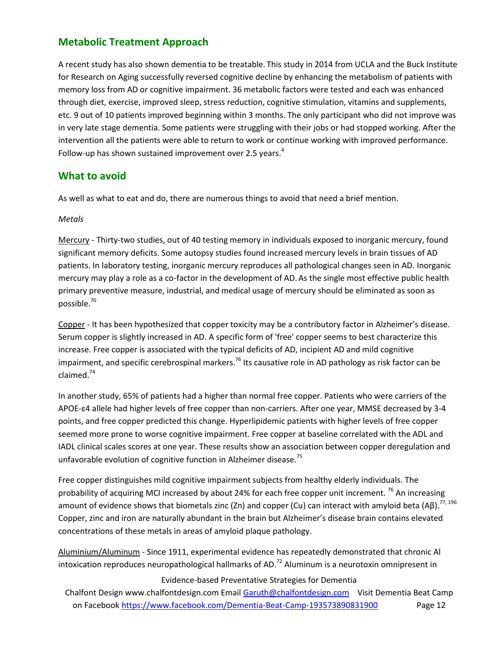# **Metabolic Treatment Approach**

A recent study has also shown dementia to be treatable. This study in 2014 from UCLA and the Buck Institute for Research on Aging successfully reversed cognitive decline by enhancing the metabolism of patients with memory loss from AD or cognitive impairment. 36 metabolic factors were tested and each was enhanced through diet, exercise, improved sleep, stress reduction, cognitive stimulation, vitamins and supplements, etc. 9 out of 10 patients improved beginning within 3 months. The only participant who did not improve was in very late stage dementia. Some patients were struggling with their jobs or had stopped working. After the intervention all the patients were able to return to work or continue working with improved performance. Follow-up has shown sustained improvement over 2.5 years. $4$ 

# **What to avoid**

As well as what to eat and do, there are numerous things to avoid that need a brief mention.

## *Metals*

Mercury - Thirty-two studies, out of 40 testing memory in individuals exposed to inorganic mercury, found significant memory deficits. Some autopsy studies found increased mercury levels in brain tissues of AD patients. In laboratory testing, inorganic mercury reproduces all pathological changes seen in AD. Inorganic mercury may play a role as a co-factor in the development of AD. As the single most effective public health primary preventive measure, industrial, and medical usage of mercury should be eliminated as soon as possible.<sup>70</sup>

Copper - It has been hypothesized that copper toxicity may be a contributory factor in Alzheimer's disease. Serum copper is slightly increased in AD. A specific form of 'free' copper seems to best characterize this increase. Free copper is associated with the typical deficits of AD, incipient AD and mild cognitive impairment, and specific cerebrospinal markers.<sup>76</sup> Its causative role in AD pathology as risk factor can be claimed.<sup>74</sup>

In another study, 65% of patients had a higher than normal free copper. Patients who were carriers of the APOE-ε4 allele had higher levels of free copper than non-carriers. After one year, MMSE decreased by 3-4 points, and free copper predicted this change. Hyperlipidemic patients with higher levels of free copper seemed more prone to worse cognitive impairment. Free copper at baseline correlated with the ADL and IADL clinical scales scores at one year. These results show an association between copper deregulation and unfavorable evolution of cognitive function in Alzheimer disease.<sup>75</sup>

Free copper distinguishes mild cognitive impairment subjects from healthy elderly individuals. The probability of acquiring MCI increased by about 24% for each free copper unit increment.  $^{76}$  An increasing amount of evidence shows that biometals zinc (Zn) and copper (Cu) can interact with amyloid beta (Aβ).<sup>77, 196</sup> Copper, zinc and iron are naturally abundant in the brain but Alzheimer's disease brain contains elevated concentrations of these metals in areas of amyloid plaque pathology.

Aluminium/Aluminum - Since 1911, experimental evidence has repeatedly demonstrated that chronic Al intoxication reproduces neuropathological hallmarks of AD.<sup>72</sup> Aluminum is a neurotoxin omnipresent in

## Evidence-based Preventative Strategies for Dementia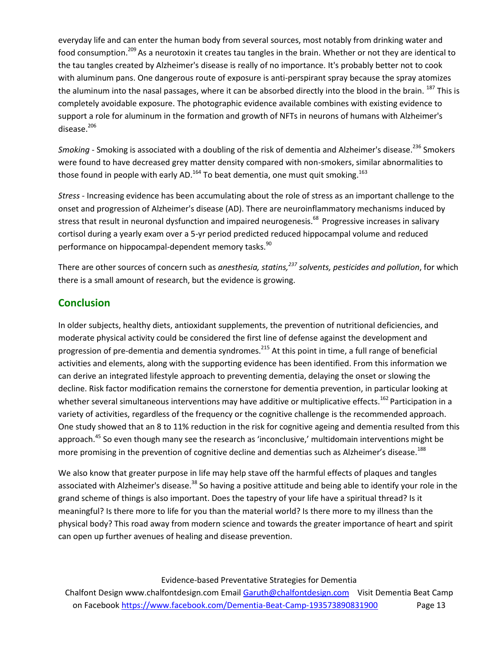everyday life and can enter the human body from several sources, most notably from drinking water and food consumption.<sup>209</sup> As a neurotoxin it creates tau tangles in the brain. Whether or not they are identical to the tau tangles created by Alzheimer's disease is really of no importance. It's probably better not to cook with aluminum pans. One dangerous route of exposure is anti-perspirant spray because the spray atomizes the aluminum into the nasal passages, where it can be absorbed directly into the blood in the brain. <sup>187</sup> This is completely avoidable exposure. The photographic evidence available combines with existing evidence to support a role for aluminum in the formation and growth of NFTs in neurons of humans with Alzheimer's disease.<sup>206</sup>

Smoking - Smoking is associated with a doubling of the risk of dementia and Alzheimer's disease.<sup>236</sup> Smokers were found to have decreased grey matter density compared with non-smokers, similar abnormalities to those found in people with early AD.<sup>164</sup> To beat dementia, one must quit smoking.<sup>163</sup>

*Stress* - Increasing evidence has been accumulating about the role of stress as an important challenge to the onset and progression of Alzheimer's disease (AD). There are neuroinflammatory mechanisms induced by stress that result in neuronal dysfunction and impaired neurogenesis.<sup>68</sup> Progressive increases in salivary cortisol during a yearly exam over a 5-yr period predicted reduced hippocampal volume and reduced performance on hippocampal-dependent memory tasks.<sup>90</sup>

There are other sources of concern such as *anesthesia, statins,<sup>237</sup> solvents, pesticides and pollution*, for which there is a small amount of research, but the evidence is growing.

# **Conclusion**

In older subjects, healthy diets, antioxidant supplements, the prevention of nutritional deficiencies, and moderate physical activity could be considered the first line of defense against the development and progression of pre-dementia and dementia syndromes.<sup>215</sup> At this point in time, a full range of beneficial activities and elements, along with the supporting evidence has been identified. From this information we can derive an integrated lifestyle approach to preventing dementia, delaying the onset or slowing the decline. Risk factor modification remains the cornerstone for dementia prevention, in particular looking at whether several simultaneous interventions may have additive or multiplicative effects.<sup>162</sup> Participation in a variety of activities, regardless of the frequency or the cognitive challenge is the recommended approach. One study showed that an 8 to 11% reduction in the risk for cognitive ageing and dementia resulted from this approach. <sup>45</sup> So even though many see the research as 'inconclusive,' multidomain interventions might be more promising in the prevention of cognitive decline and dementias such as Alzheimer's disease.<sup>188</sup>

We also know that greater purpose in life may help stave off the harmful effects of plaques and tangles associated with Alzheimer's disease.<sup>38</sup> So having a positive attitude and being able to identify your role in the grand scheme of things is also important. Does the tapestry of your life have a spiritual thread? Is it meaningful? Is there more to life for you than the material world? Is there more to my illness than the physical body? This road away from modern science and towards the greater importance of heart and spirit can open up further avenues of healing and disease prevention.

Evidence-based Preventative Strategies for Dementia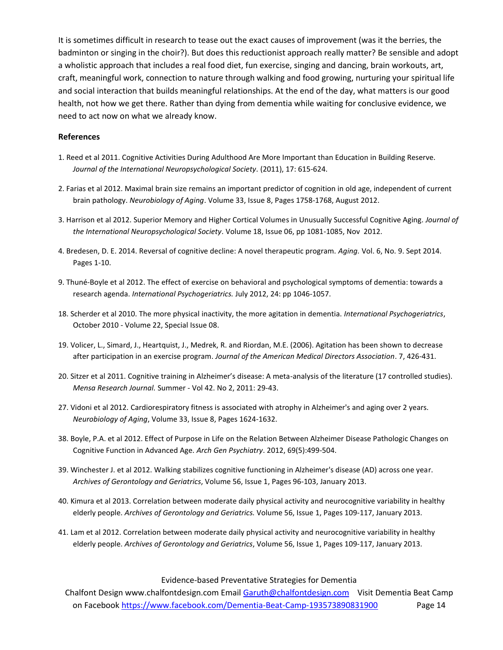It is sometimes difficult in research to tease out the exact causes of improvement (was it the berries, the badminton or singing in the choir?). But does this reductionist approach really matter? Be sensible and adopt a wholistic approach that includes a real food diet, fun exercise, singing and dancing, brain workouts, art, craft, meaningful work, connection to nature through walking and food growing, nurturing your spiritual life and social interaction that builds meaningful relationships. At the end of the day, what matters is our good health, not how we get there. Rather than dying from dementia while waiting for conclusive evidence, we need to act now on what we already know.

#### **References**

- 1. Reed et al 2011. Cognitive Activities During Adulthood Are More Important than Education in Building Reserve. *Journal of the International Neuropsychological Society.* (2011), 17: 615-624.
- 2. Farias et al 2012. Maximal brain size remains an important predictor of cognition in old age, independent of current brain pathology. *Neurobiology of Aging*. Volume 33, Issue 8, Pages 1758-1768, August 2012.
- 3. Harrison et al 2012. Superior Memory and Higher Cortical Volumes in Unusually Successful Cognitive Aging. *Journal of the International Neuropsychological Society*. Volume 18, Issue 06, pp 1081-1085, Nov 2012.
- 4. Bredesen, D. E. 2014. Reversal of cognitive decline: A novel therapeutic program. *Aging.* Vol. 6, No. 9. Sept 2014. Pages 1-10.
- 9. Thuné-Boyle et al 2012. The effect of exercise on behavioral and psychological symptoms of dementia: towards a research agenda. *International Psychogeriatrics.* July 2012, 24: pp 1046-1057.
- 18. Scherder et al 2010. The more physical inactivity, the more agitation in dementia. *International Psychogeriatrics*, October 2010 - Volume 22, Special Issue 08.
- 19. Volicer, L., Simard, J., Heartquist, J., Medrek, R. and Riordan, M.E. (2006). Agitation has been shown to decrease after participation in an exercise program. *Journal of the American Medical Directors Association*. 7, 426-431.
- 20. Sitzer et al 2011. Cognitive training in Alzheimer's disease: A meta-analysis of the literature (17 controlled studies). *Mensa Research Journal.* Summer - Vol 42. No 2, 2011: 29-43.
- 27. Vidoni et al 2012. Cardiorespiratory fitness is associated with atrophy in Alzheimer's and aging over 2 years. *Neurobiology of Aging*, Volume 33, Issue 8, Pages 1624-1632.
- 38. Boyle, P.A. et al 2012. Effect of Purpose in Life on the Relation Between Alzheimer Disease Pathologic Changes on Cognitive Function in Advanced Age. *Arch Gen Psychiatry*. 2012, 69(5):499-504.
- 39. Winchester J. et al 2012. Walking stabilizes cognitive functioning in Alzheimer's disease (AD) across one year. *Archives of Gerontology and Geriatrics*, Volume 56, Issue 1, Pages 96-103, January 2013.
- 40. Kimura et al 2013. Correlation between moderate daily physical activity and neurocognitive variability in healthy elderly people. *Archives of Gerontology and Geriatrics.* Volume 56, Issue 1, Pages 109-117, January 2013.
- 41. Lam et al 2012. Correlation between moderate daily physical activity and neurocognitive variability in healthy elderly people. *Archives of Gerontology and Geriatrics*, Volume 56, Issue 1, Pages 109-117, January 2013.

#### Evidence-based Preventative Strategies for Dementia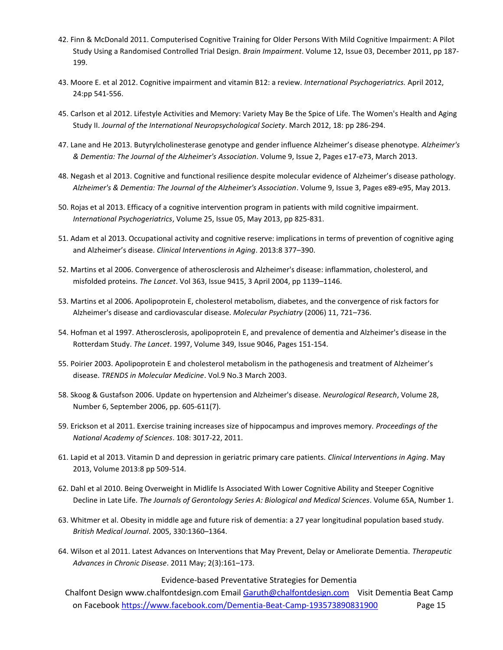- 42. Finn & McDonald 2011. Computerised Cognitive Training for Older Persons With Mild Cognitive Impairment: A Pilot Study Using a Randomised Controlled Trial Design. *Brain Impairment*. Volume 12, Issue 03, December 2011, pp 187- 199.
- 43. Moore E. et al 2012. Cognitive impairment and vitamin B12: a review. *International Psychogeriatrics.* April 2012, 24:pp 541-556.
- 45. Carlson et al 2012. Lifestyle Activities and Memory: Variety May Be the Spice of Life. The Women's Health and Aging Study II. *Journal of the International Neuropsychological Society*. March 2012, 18: pp 286-294.
- 47. Lane and He 2013. Butyrylcholinesterase genotype and gender influence Alzheimer's disease phenotype. *Alzheimer's & Dementia: The Journal of the Alzheimer's Association*. Volume 9, Issue 2, Pages e17-e73, March 2013.
- 48. Negash et al 2013. Cognitive and functional resilience despite molecular evidence of Alzheimer's disease pathology. *Alzheimer's & Dementia: The Journal of the Alzheimer's Association*. Volume 9, Issue 3, Pages e89-e95, May 2013.
- 50. Rojas et al 2013. Efficacy of a cognitive intervention program in patients with mild cognitive impairment. *International Psychogeriatrics*, Volume 25, Issue 05, May 2013, pp 825-831.
- 51. Adam et al 2013. Occupational activity and cognitive reserve: implications in terms of prevention of cognitive aging and Alzheimer's disease. *Clinical Interventions in Aging*. 2013:8 377–390.
- 52. Martins et al 2006. Convergence of atherosclerosis and Alzheimer's disease: inflammation, cholesterol, and misfolded proteins. *The Lancet*. Vol 363, Issue 9415, 3 April 2004, pp 1139–1146.
- 53. Martins et al 2006. Apolipoprotein E, cholesterol metabolism, diabetes, and the convergence of risk factors for Alzheimer's disease and cardiovascular disease. *Molecular Psychiatry* (2006) 11, 721–736.
- 54. Hofman et al 1997. Atherosclerosis, apolipoprotein E, and prevalence of dementia and Alzheimer's disease in the Rotterdam Study. *The Lancet*. 1997, Volume 349, Issue 9046, Pages 151-154.
- 55. Poirier 2003. Apolipoprotein E and cholesterol metabolism in the pathogenesis and treatment of Alzheimer's disease. *TRENDS in Molecular Medicine*. Vol.9 No.3 March 2003.
- 58. Skoog & Gustafson 2006. Update on hypertension and Alzheimer's disease. *Neurological Research*, Volume 28, Number 6, September 2006, pp. 605-611(7).
- 59. Erickson et al 2011. Exercise training increases size of hippocampus and improves memory. *Proceedings of the National Academy of Sciences*. 108: 3017-22, 2011.
- 61. Lapid et al 2013. Vitamin D and depression in geriatric primary care patients. *Clinical Interventions in Aging*. May 2013, Volume 2013:8 pp 509-514.
- 62. Dahl et al 2010. Being Overweight in Midlife Is Associated With Lower Cognitive Ability and Steeper Cognitive Decline in Late Life. *The Journals of Gerontology Series A: Biological and Medical Sciences*. Volume 65A, Number 1.
- 63. Whitmer et al. Obesity in middle age and future risk of dementia: a 27 year longitudinal population based study. *British Medical Journal*. 2005, 330:1360–1364.
- 64. Wilson et al 2011. Latest Advances on Interventions that May Prevent, Delay or Ameliorate Dementia. *Therapeutic Advances in Chronic Disease*. 2011 May; 2(3):161–173.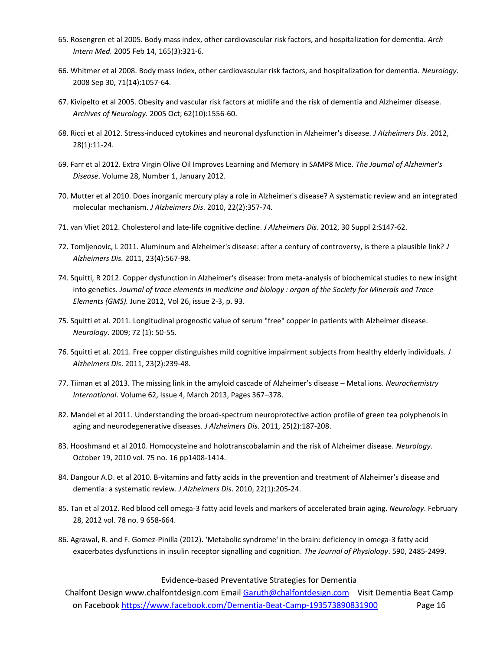- 65. Rosengren et al 2005. Body mass index, other cardiovascular risk factors, and hospitalization for dementia. *Arch Intern Med.* 2005 Feb 14, 165(3):321-6.
- 66. Whitmer et al 2008. Body mass index, other cardiovascular risk factors, and hospitalization for dementia. *Neurology*. 2008 Sep 30, 71(14):1057-64.
- 67. Kivipelto et al 2005. Obesity and vascular risk factors at midlife and the risk of dementia and Alzheimer disease. *Archives of Neurology*. 2005 Oct; 62(10):1556-60.
- 68. Ricci et al 2012. Stress-induced cytokines and neuronal dysfunction in Alzheimer's disease. *J Alzheimers Dis*. 2012, 28(1):11-24.
- 69. Farr et al 2012. Extra Virgin Olive Oil Improves Learning and Memory in SAMP8 Mice. *The Journal of Alzheimer's Disease*. Volume 28, Number 1, January 2012.
- 70. Mutter et al 2010. Does inorganic mercury play a role in Alzheimer's disease? A systematic review and an integrated molecular mechanism. *J Alzheimers Dis*. 2010, 22(2):357-74.
- 71. van Vliet 2012. Cholesterol and late-life cognitive decline. *J Alzheimers Dis*. 2012, 30 Suppl 2:S147-62.
- 72. Tomljenovic, L 2011. Aluminum and Alzheimer's disease: after a century of controversy, is there a plausible link? *J Alzheimers Dis.* 2011, 23(4):567-98.
- 74. Squitti, R 2012. Copper dysfunction in Alzheimer's disease: from meta-analysis of biochemical studies to new insight into genetics. *Journal of trace elements in medicine and biology : organ of the Society for Minerals and Trace Elements (GMS).* June 2012, Vol 26, issue 2-3, p. 93.
- 75. Squitti et al. 2011. Longitudinal prognostic value of serum "free" copper in patients with Alzheimer disease. *Neurology*. 2009; 72 (1): 50-55.
- 76. Squitti et al. 2011. Free copper distinguishes mild cognitive impairment subjects from healthy elderly individuals. *J Alzheimers Dis*. 2011, 23(2):239-48.
- 77. Tiiman et al 2013. The missing link in the amyloid cascade of Alzheimer's disease Metal ions. *Neurochemistry International*. Volume 62, Issue 4, March 2013, Pages 367–378.
- 82. Mandel et al 2011. Understanding the broad-spectrum neuroprotective action profile of green tea polyphenols in aging and neurodegenerative diseases. *J Alzheimers Dis*. 2011, 25(2):187-208.
- 83. Hooshmand et al 2010. Homocysteine and holotranscobalamin and the risk of Alzheimer disease. *Neurology*. October 19, 2010 vol. 75 no. 16 pp1408-1414.
- 84. Dangour A.D. et al 2010. B-vitamins and fatty acids in the prevention and treatment of Alzheimer's disease and dementia: a systematic review. *J Alzheimers Dis*. 2010, 22(1):205-24.
- 85. Tan et al 2012. Red blood cell omega-3 fatty acid levels and markers of accelerated brain aging. *Neurology*. February 28, 2012 vol. 78 no. 9 658-664.
- 86. Agrawal, R. and F. Gomez-Pinilla (2012). 'Metabolic syndrome' in the brain: deficiency in omega-3 fatty acid exacerbates dysfunctions in insulin receptor signalling and cognition. *The Journal of Physiology*. 590, 2485-2499.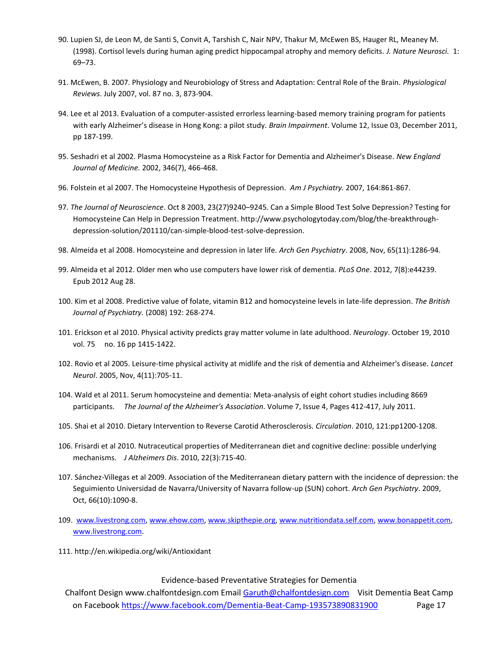- 90. Lupien SJ, de Leon M, de Santi S, Convit A, Tarshish C, Nair NPV, Thakur M, McEwen BS, Hauger RL, Meaney M. (1998). Cortisol levels during human aging predict hippocampal atrophy and memory deficits. *J. Nature Neurosci.* 1: 69–73.
- 91. McEwen, B. 2007. Physiology and Neurobiology of Stress and Adaptation: Central Role of the Brain. *Physiological Reviews*. July 2007, vol. 87 no. 3, 873-904.
- 94. Lee et al 2013. Evaluation of a computer-assisted errorless learning-based memory training program for patients with early Alzheimer's disease in Hong Kong: a pilot study. *Brain Impairment*. Volume 12, Issue 03, December 2011, pp 187-199.
- 95. Seshadri et al 2002. Plasma Homocysteine as a Risk Factor for Dementia and Alzheimer's Disease. *New England Journal of Medicine.* 2002, 346(7), 466-468.
- 96. Folstein et al 2007. The Homocysteine Hypothesis of Depression. *Am J Psychiatry.* 2007, 164:861-867.
- 97. *The Journal of Neuroscience*. Oct 8 2003, 23(27)9240–9245. Can a Simple Blood Test Solve Depression? Testing for Homocysteine Can Help in Depression Treatment. http://www.psychologytoday.com/blog/the-breakthroughdepression-solution/201110/can-simple-blood-test-solve-depression.
- 98. Almeida et al 2008. Homocysteine and depression in later life. *Arch Gen Psychiatry*. 2008, Nov, 65(11):1286-94.
- 99. Almeida et al 2012. Older men who use computers have lower risk of dementia. *PLoS One*. 2012, 7(8):e44239. Epub 2012 Aug 28.
- 100. Kim et al 2008. Predictive value of folate, vitamin B12 and homocysteine levels in late-life depression. *The British Journal of Psychiatry.* (2008) 192: 268-274.
- 101. Erickson et al 2010. Physical activity predicts gray matter volume in late adulthood. *Neurology*. October 19, 2010 vol. 75 no. 16 pp 1415-1422.
- 102. Rovio et al 2005. Leisure-time physical activity at midlife and the risk of dementia and Alzheimer's disease. *Lancet Neurol*. 2005, Nov, 4(11):705-11.
- 104. Wald et al 2011. Serum homocysteine and dementia: Meta-analysis of eight cohort studies including 8669 participants. *The Journal of the Alzheimer's Association*. Volume 7, Issue 4, Pages 412-417, July 2011.
- 105. Shai et al 2010. Dietary Intervention to Reverse Carotid Atherosclerosis. *Circulation*. 2010, 121:pp1200-1208.
- 106. Frisardi et al 2010. Nutraceutical properties of Mediterranean diet and cognitive decline: possible underlying mechanisms. *J Alzheimers Dis*. 2010, 22(3):715-40.
- 107. Sánchez-Villegas et al 2009. Association of the Mediterranean dietary pattern with the incidence of depression: the Seguimiento Universidad de Navarra/University of Navarra follow-up (SUN) cohort. *Arch Gen Psychiatry*. 2009, Oct, 66(10):1090-8.
- 109. [www.livestrong.com,](http://www.livestrong.com/) [www.ehow.com,](http://www.ehow.com/) [www.skipthepie.org,](http://www.skipthepie.org/) [www.nutritiondata.self.com,](http://www.nutritiondata.self.com/) [www.bonappetit.com,](http://www.bonappetit.com/) [www.livestrong.com.](http://www.livestrong.com/)
- 111. http://en.wikipedia.org/wiki/Antioxidant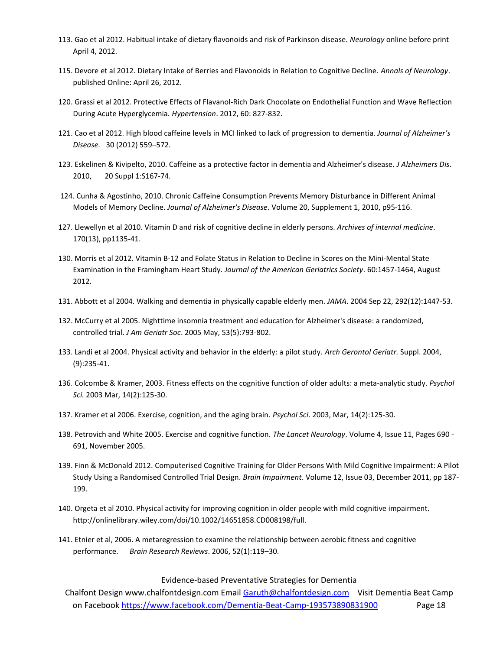- 113. Gao et al 2012. Habitual intake of dietary flavonoids and risk of Parkinson disease. *Neurology* online before print April 4, 2012.
- 115. Devore et al 2012. Dietary Intake of Berries and Flavonoids in Relation to Cognitive Decline. *Annals of Neurology*. published Online: April 26, 2012.
- 120. Grassi et al 2012. Protective Effects of Flavanol-Rich Dark Chocolate on Endothelial Function and Wave Reflection During Acute Hyperglycemia. *Hypertension*. 2012, 60: 827-832.
- 121. Cao et al 2012. High blood caffeine levels in MCI linked to lack of progression to dementia. *Journal of Alzheimer's Disease.* 30 (2012) 559–572.
- 123. Eskelinen & Kivipelto, 2010. Caffeine as a protective factor in dementia and Alzheimer's disease. *J Alzheimers Dis*. 2010, 20 Suppl 1:S167-74.
- 124. Cunha & Agostinho, 2010. Chronic Caffeine Consumption Prevents Memory Disturbance in Different Animal Models of Memory Decline. *Journal of Alzheimer's Disease*. Volume 20, Supplement 1, 2010, p95-116.
- 127. Llewellyn et al 2010. Vitamin D and risk of cognitive decline in elderly persons. *Archives of internal medicine*. 170(13), pp1135-41.
- 130. Morris et al 2012. Vitamin B-12 and Folate Status in Relation to Decline in Scores on the Mini-Mental State Examination in the Framingham Heart Study. *Journal of the American Geriatrics Society*. 60:1457-1464, August 2012.
- 131. Abbott et al 2004. Walking and dementia in physically capable elderly men. *JAMA*. 2004 Sep 22, 292(12):1447-53.
- 132. McCurry et al 2005. Nighttime insomnia treatment and education for Alzheimer's disease: a randomized, controlled trial. *J Am Geriatr Soc*. 2005 May, 53(5):793-802.
- 133. Landi et al 2004. Physical activity and behavior in the elderly: a pilot study. *Arch Gerontol Geriatr.* Suppl. 2004, (9):235-41.
- 136. Colcombe & Kramer, 2003. Fitness effects on the cognitive function of older adults: a meta-analytic study. *Psychol Sci.* 2003 Mar, 14(2):125-30.
- 137. Kramer et al 2006. Exercise, cognition, and the aging brain. *Psychol Sci*. 2003, Mar, 14(2):125-30.
- 138. Petrovich and White 2005. Exercise and cognitive function. *The Lancet Neurology*. Volume 4, Issue 11, Pages 690 691, November 2005.
- 139. Finn & McDonald 2012. Computerised Cognitive Training for Older Persons With Mild Cognitive Impairment: A Pilot Study Using a Randomised Controlled Trial Design. *Brain Impairment*. Volume 12, Issue 03, December 2011, pp 187- 199.
- 140. Orgeta et al 2010. Physical activity for improving cognition in older people with mild cognitive impairment. http://onlinelibrary.wiley.com/doi/10.1002/14651858.CD008198/full.
- 141. Etnier et al, 2006. A metaregression to examine the relationship between aerobic fitness and cognitive performance. *Brain Research Reviews*. 2006, 52(1):119–30.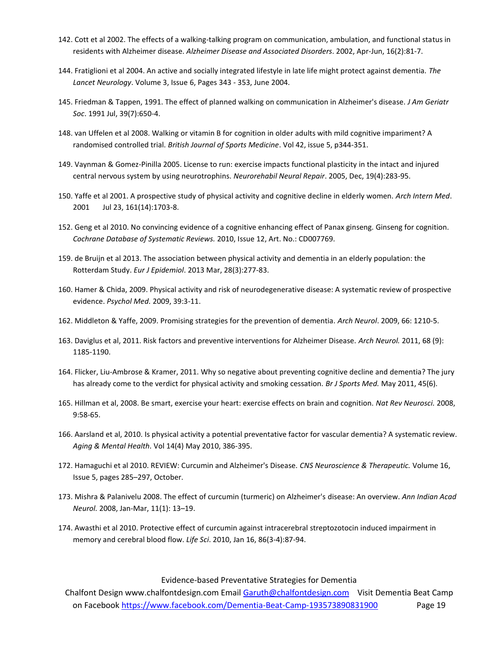- 142. Cott et al 2002. The effects of a walking-talking program on communication, ambulation, and functional status in residents with Alzheimer disease. *Alzheimer Disease and Associated Disorders*. 2002, Apr-Jun, 16(2):81-7.
- 144. Fratiglioni et al 2004. An active and socially integrated lifestyle in late life might protect against dementia. *The Lancet Neurology*. Volume 3, Issue 6, Pages 343 - 353, June 2004.
- 145. Friedman & Tappen, 1991. The effect of planned walking on communication in Alzheimer's disease. *J Am Geriatr Soc*. 1991 Jul, 39(7):650-4.
- 148. van Uffelen et al 2008. Walking or vitamin B for cognition in older adults with mild cognitive impariment? A randomised controlled trial. *British Journal of Sports Medicine*. Vol 42, issue 5, p344-351.
- 149. Vaynman & Gomez-Pinilla 2005. License to run: exercise impacts functional plasticity in the intact and injured central nervous system by using neurotrophins. *Neurorehabil Neural Repair*. 2005, Dec, 19(4):283-95.
- 150. Yaffe et al 2001. A prospective study of physical activity and cognitive decline in elderly women. *Arch Intern Med*. 2001 Jul 23, 161(14):1703-8.
- 152. Geng et al 2010. No convincing evidence of a cognitive enhancing effect of Panax ginseng. Ginseng for cognition. *Cochrane Database of Systematic Reviews.* 2010, Issue 12, Art. No.: CD007769.
- 159. de Bruijn et al 2013. The association between physical activity and dementia in an elderly population: the Rotterdam Study. *Eur J Epidemiol*. 2013 Mar, 28(3):277-83.
- 160. Hamer & Chida, 2009. Physical activity and risk of neurodegenerative disease: A systematic review of prospective evidence. *Psychol Med.* 2009, 39:3-11.
- 162. Middleton & Yaffe, 2009. Promising strategies for the prevention of dementia. *Arch Neurol*. 2009, 66: 1210-5.
- 163. Daviglus et al, 2011. Risk factors and preventive interventions for Alzheimer Disease. *Arch Neurol.* 2011, 68 (9): 1185-1190.
- 164. Flicker, Liu-Ambrose & Kramer, 2011. Why so negative about preventing cognitive decline and dementia? The jury has already come to the verdict for physical activity and smoking cessation. *Br J Sports Med.* May 2011, 45(6).
- 165. Hillman et al, 2008. Be smart, exercise your heart: exercise effects on brain and cognition. *Nat Rev Neurosci.* 2008, 9:58-65.
- 166. Aarsland et al, 2010. Is physical activity a potential preventative factor for vascular dementia? A systematic review. *Aging & Mental Health.* Vol 14(4) May 2010, 386-395.
- 172. Hamaguchi et al 2010. REVIEW: Curcumin and Alzheimer's Disease. *CNS Neuroscience & Therapeutic.* Volume 16, Issue 5, pages 285–297, October.
- 173. Mishra & Palanivelu 2008. The effect of curcumin (turmeric) on Alzheimer's disease: An overview. *Ann Indian Acad Neurol.* 2008, Jan-Mar, 11(1): 13–19.
- 174. Awasthi et al 2010. Protective effect of curcumin against intracerebral streptozotocin induced impairment in memory and cerebral blood flow. *Life Sci*. 2010, Jan 16, 86(3-4):87-94.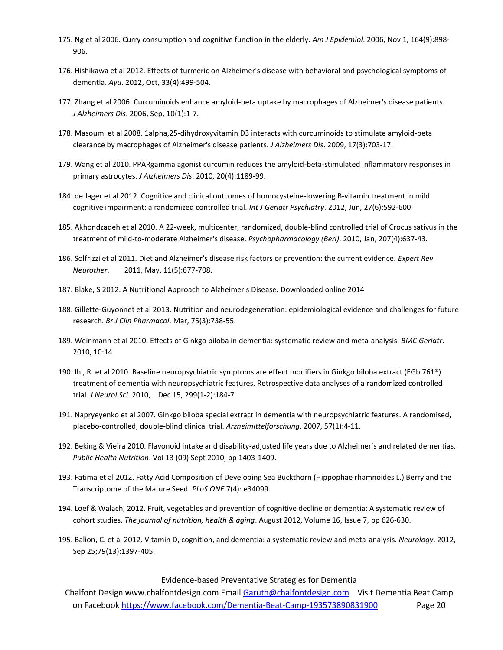- 175. Ng et al 2006. Curry consumption and cognitive function in the elderly. *Am J Epidemiol*. 2006, Nov 1, 164(9):898- 906.
- 176. Hishikawa et al 2012. Effects of turmeric on Alzheimer's disease with behavioral and psychological symptoms of dementia. *Ayu*. 2012, Oct, 33(4):499-504.
- 177. Zhang et al 2006. Curcuminoids enhance amyloid-beta uptake by macrophages of Alzheimer's disease patients. *J Alzheimers Dis*. 2006, Sep, 10(1):1-7.
- 178. Masoumi et al 2008. 1alpha,25-dihydroxyvitamin D3 interacts with curcuminoids to stimulate amyloid-beta clearance by macrophages of Alzheimer's disease patients. *J Alzheimers Dis*. 2009, 17(3):703-17.
- 179. Wang et al 2010. PPARgamma agonist curcumin reduces the amyloid-beta-stimulated inflammatory responses in primary astrocytes. *J Alzheimers Dis*. 2010, 20(4):1189-99.
- 184. de Jager et al 2012. Cognitive and clinical outcomes of homocysteine-lowering B-vitamin treatment in mild cognitive impairment: a randomized controlled trial. *Int J Geriatr Psychiatry*. 2012, Jun, 27(6):592-600.
- 185. Akhondzadeh et al 2010. A 22-week, multicenter, randomized, double-blind controlled trial of Crocus sativus in the treatment of mild-to-moderate Alzheimer's disease. *Psychopharmacology (Berl)*. 2010, Jan, 207(4):637-43.
- 186. Solfrizzi et al 2011. Diet and Alzheimer's disease risk factors or prevention: the current evidence. *Expert Rev Neurother*. 2011, May, 11(5):677-708.
- 187. Blake, S 2012. A Nutritional Approach to Alzheimer's Disease. Downloaded online 2014
- 188. Gillette-Guyonnet et al 2013. Nutrition and neurodegeneration: epidemiological evidence and challenges for future research. *Br J Clin Pharmacol*. Mar, 75(3):738-55.
- 189. Weinmann et al 2010. Effects of Ginkgo biloba in dementia: systematic review and meta-analysis. *BMC Geriatr*. 2010, 10:14.
- 190. Ihl, R. et al 2010. Baseline neuropsychiatric symptoms are effect modifiers in Ginkgo biloba extract (EGb 761®) treatment of dementia with neuropsychiatric features. Retrospective data analyses of a randomized controlled trial. *J Neurol Sci*. 2010, Dec 15, 299(1-2):184-7.
- 191. Napryeyenko et al 2007. Ginkgo biloba special extract in dementia with neuropsychiatric features. A randomised, placebo-controlled, double-blind clinical trial. *Arzneimittelforschung*. 2007, 57(1):4-11.
- 192. Beking & Vieira 2010. Flavonoid intake and disability-adjusted life years due to Alzheimer's and related dementias. *Public Health Nutrition*. Vol 13 (09) Sept 2010, pp 1403-1409.
- 193. Fatima et al 2012. Fatty Acid Composition of Developing Sea Buckthorn (Hippophae rhamnoides L.) Berry and the Transcriptome of the Mature Seed. *PLoS ONE* 7(4): e34099.
- 194. Loef & Walach, 2012. Fruit, vegetables and prevention of cognitive decline or dementia: A systematic review of cohort studies. *The journal of nutrition, health & aging*. August 2012, Volume 16, Issue 7, pp 626-630.
- 195. Balion, C. et al 2012. Vitamin D, cognition, and dementia: a systematic review and meta-analysis. *Neurology*. 2012, Sep 25;79(13):1397-405.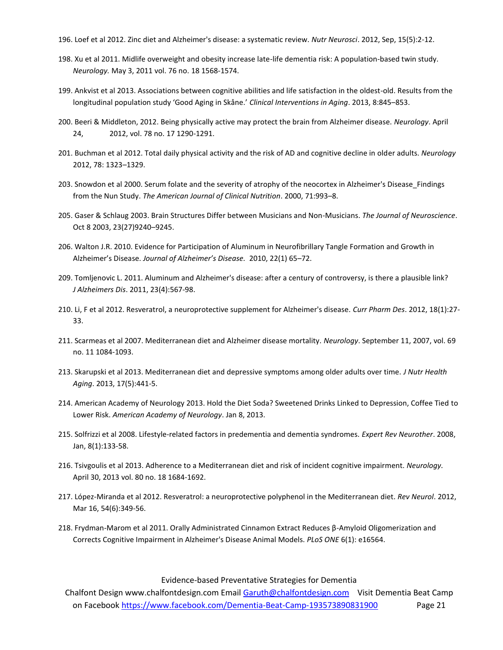- 196. Loef et al 2012. Zinc diet and Alzheimer's disease: a systematic review. *Nutr Neurosci*. 2012, Sep, 15(5):2-12.
- 198. Xu et al 2011. Midlife overweight and obesity increase late-life dementia risk: A population-based twin study. *Neurology.* May 3, 2011 vol. 76 no. 18 1568-1574.
- 199. Ankvist et al 2013. Associations between cognitive abilities and life satisfaction in the oldest-old. Results from the longitudinal population study 'Good Aging in Skåne.' *Clinical Interventions in Aging*. 2013, 8:845–853.
- 200. Beeri & Middleton, 2012. Being physically active may protect the brain from Alzheimer disease. *Neurology*. April 24, 2012, vol. 78 no. 17 1290-1291.
- 201. Buchman et al 2012. Total daily physical activity and the risk of AD and cognitive decline in older adults. *Neurology* 2012, 78: 1323–1329.
- 203. Snowdon et al 2000. Serum folate and the severity of atrophy of the neocortex in Alzheimer's Disease\_Findings from the Nun Study. *The American Journal of Clinical Nutrition*. 2000, 71:993–8.
- 205. Gaser & Schlaug 2003. Brain Structures Differ between Musicians and Non-Musicians. *The Journal of Neuroscience*. Oct 8 2003, 23(27)9240–9245.
- 206. Walton J.R. 2010. Evidence for Participation of Aluminum in Neurofibrillary Tangle Formation and Growth in Alzheimer's Disease. *Journal of Alzheimer's Disease.* 2010, 22(1) 65–72.
- 209. Tomljenovic L. 2011. Aluminum and Alzheimer's disease: after a century of controversy, is there a plausible link? *J Alzheimers Dis*. 2011, 23(4):567-98.
- 210. Li, F et al 2012. Resveratrol, a neuroprotective supplement for Alzheimer's disease. *Curr Pharm Des*. 2012, 18(1):27- 33.
- 211. Scarmeas et al 2007. Mediterranean diet and Alzheimer disease mortality. *Neurology*. September 11, 2007, vol. 69 no. 11 1084-1093.
- 213. Skarupski et al 2013. Mediterranean diet and depressive symptoms among older adults over time. *J Nutr Health Aging*. 2013, 17(5):441-5.
- 214. American Academy of Neurology 2013. Hold the Diet Soda? Sweetened Drinks Linked to Depression, Coffee Tied to Lower Risk. *American Academy of Neurology*. Jan 8, 2013.
- 215. Solfrizzi et al 2008. Lifestyle-related factors in predementia and dementia syndromes. *Expert Rev Neurother*. 2008, Jan, 8(1):133-58.
- 216. Tsivgoulis et al 2013. Adherence to a Mediterranean diet and risk of incident cognitive impairment. *Neurology.* April 30, 2013 vol. 80 no. 18 1684-1692.
- 217. López-Miranda et al 2012. Resveratrol: a neuroprotective polyphenol in the Mediterranean diet. *Rev Neurol*. 2012, Mar 16, 54(6):349-56.
- 218. Frydman-Marom et al 2011. Orally Administrated Cinnamon Extract Reduces β-Amyloid Oligomerization and Corrects Cognitive Impairment in Alzheimer's Disease Animal Models. *PLoS ONE* 6(1): e16564.